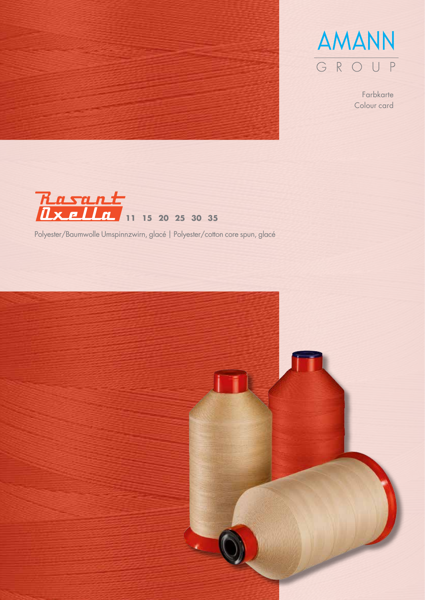



Farbkarte Colour card



Polyester/Baumwolle Umspinnzwirn, glacé | Polyester/cotton core spun, glacé

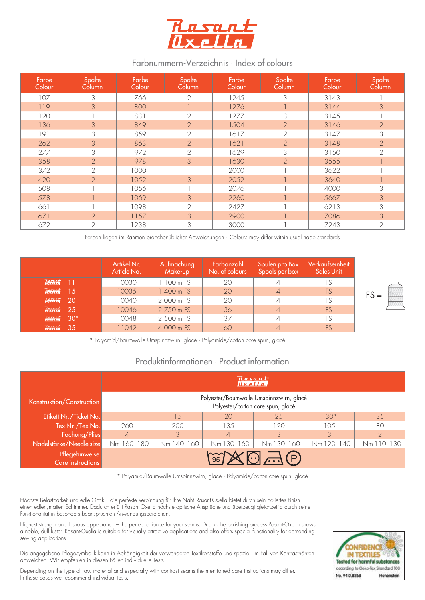

## Farbnummern-Verzeichnis · Index of colours

| Farbe<br>Colour | Spalte<br>Column | Farbe<br>Colour | Spalte<br>Column | Farbe<br>Colour | Spalte<br>Column | Farbe<br>Colour | Spalte<br>Column |
|-----------------|------------------|-----------------|------------------|-----------------|------------------|-----------------|------------------|
| 107             | 3                | 766             | $\mathcal{L}$    | 1245            | 3                | 3143            |                  |
| 119             | 3                | 800             |                  | 1276            |                  | 3144            | 3                |
| 120             |                  | 831             | $\mathbf{2}$     | 1277            | 3                | 3145            |                  |
| 136             | 3                | 849             | $\overline{2}$   | 1504            | $\overline{2}$   | 3146            | $\overline{2}$   |
| 191             | 3                | 859             | $\overline{2}$   | 1617            | $\mathbf{2}$     | 3147            | 3                |
| 262             | 3                | 863             | $\overline{2}$   | 1621            | $\overline{2}$   | 3148            | $\overline{2}$   |
| 277             | 3                | 972             | $\overline{2}$   | 1629            | 3                | 3150            | $\overline{2}$   |
| 358             | $\overline{2}$   | 978             | 3                | 1630            | $\overline{2}$   | 3555            |                  |
| 372             | $\mathbf{2}$     | 1000            |                  | 2000            |                  | 3622            |                  |
| 420             | $\overline{2}$   | 1052            | 3                | 2052            |                  | 3640            |                  |
| 508             |                  | 1056            |                  | 2076            |                  | 4000            | 3                |
| 578             |                  | 1069            | 3                | 2260            |                  | 5667            | 3                |
| 661             |                  | 1098            | $\overline{2}$   | 2427            |                  | 6213            | 3                |
| 671             | $\overline{2}$   | 1157            | 3                | 2900            |                  | 7086            | 3                |
| 672             | $\mathbf{2}$     | 1238            | 3                | 3000            |                  | 7243            | $\mathbf{2}$     |

Farben liegen im Rahmen branchenüblicher Abweichungen ∙ Colours may differ within usual trade standards

|                               | Artikel Nr.<br>Article No. | Aufmachung<br>Make-up | Farbanzahl<br>No. of colours | Spulen pro Box<br>Spools per box | Verkaufseinheit<br><b>Sales Unit</b> |
|-------------------------------|----------------------------|-----------------------|------------------------------|----------------------------------|--------------------------------------|
| $\frac{Rasant}{Rsanh}$ ]      | 10030                      | 1.100 m FS            | 20                           |                                  |                                      |
| $\frac{Rasunt}{Rasant}$ 15    | 10035                      | 1.400 m FS            | 20                           |                                  | FS.                                  |
| $\frac{Rarsant}{Rsgalten}$ 20 | 10040                      | 2.000 m FS            | 20                           |                                  | <b>FS</b>                            |
| $\frac{Rarsant}{Rsgalten}$ 25 | 10046                      | 2.750 m FS            | 36                           |                                  | FS.                                  |
| $\frac{R}{\mu_{X}}$           | 10048                      | 2.500 m FS            | 37                           |                                  | FS.                                  |
| $\frac{Rasunt}{Rasant}$ 35    | 11042                      | 4.000 m FS            | 60                           |                                  |                                      |

\* Polyamid/Baumwolle Umspinnzwirn, glacé ∙ Polyamide/cotton core spun, glacé

## Produktinformationen · Product information

|                                     | Rasant                                                                       |            |                |            |            |                |  |  |
|-------------------------------------|------------------------------------------------------------------------------|------------|----------------|------------|------------|----------------|--|--|
| Konstruktion/Construction           | Polyester/Baumwolle Umspinnzwirn, glacé<br>Polyester/cotton core spun, glacé |            |                |            |            |                |  |  |
| Etikett Nr./Ticket No.              |                                                                              | 1.5        | 20             | 25         | $30*$      | 35             |  |  |
| Tex Nr./Tex No.                     | 260                                                                          | 200        | 135            | 120        | 10.5       | 80             |  |  |
| Fachung/Plies                       | $\overline{4}$                                                               | 3          | $\overline{4}$ | 3          | 3          | $\overline{2}$ |  |  |
| Nadelstärke/Needle size             | Nm 160-180                                                                   | Nm 140-160 | Nm 130-160     | Nm 130-160 | Nm 120-140 | Nm 110-130     |  |  |
| Pflegehinweise<br>Care instructions | 95                                                                           |            |                |            |            |                |  |  |

\* Polyamid/Baumwolle Umspinnzwirn, glacé ∙ Polyamide/cotton core spun, glacé

Höchste Belastbarkeit und edle Optik – die perfekte Verbindung für Ihre Naht.Rasant-Oxella bietet durch sein poliertes Finish einen edlen,matten Schimmer. Dadurch erfüllt Rasant-Oxella höchste optische Ansprüche und überzeugt gleichzeitig durch seine Funktionalität in besonders beanspruchten Anwendungsbereichen.

Highest strength and lustrous appearance – the perfect alliance for your seams. Due to the polishing process Rasant-Oxella shows a noble, dull luster. Rasant-Oxella is suitable for visually attractive applications and also offers special functionality for demanding sewing applications.

Die angegebene Pflegesymbolik kann in Abhängigkeit der verwendeten Textilrohstoffe und speziell im Fall von Kontrastnähten abweichen. Wir empfehlen in diesen Fällen individuelle Tests.

Depending on the type of raw material and especially with contrast seams the mentioned care instructions may differ. In these cases we recommend individual tests.

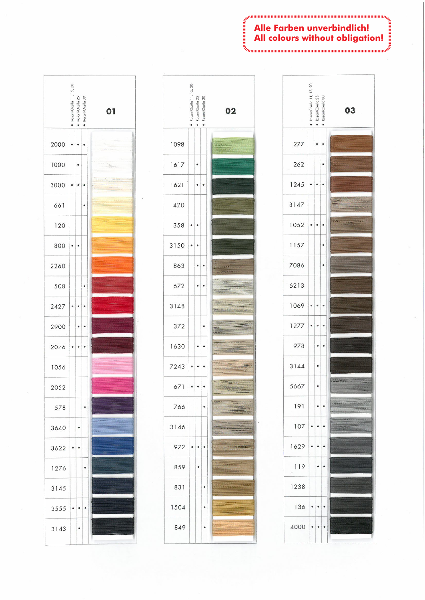## **Alle Farben unverbinducn:**<br>**All colours without obligation!**<br> *All colours without obligation!*